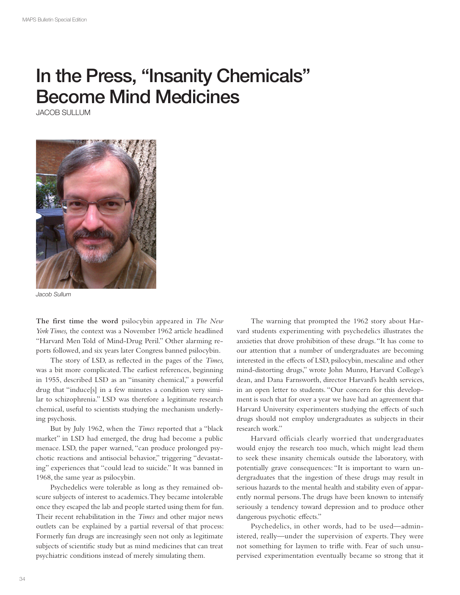## In the Press, "Insanity Chemicals" Become Mind Medicines

JACOB SULLUM



Jacob Sullum

**The first time the word** psilocybin appeared in *The New York Times,* the context was a November 1962 article headlined "Harvard Men Told of Mind-Drug Peril." Other alarming reports followed, and six years later Congress banned psilocybin.

The story of LSD, as refected in the pages of the *Times,*  was a bit more complicated. The earliest references, beginning in 1955, described LSD as an "insanity chemical," a powerful drug that "induce[s] in a few minutes a condition very similar to schizophrenia." LSD was therefore a legitimate research chemical, useful to scientists studying the mechanism underlying psychosis.

But by July 1962, when the *Times* reported that a "black market" in LSD had emerged, the drug had become a public menace. LSD, the paper warned, "can produce prolonged psychotic reactions and antisocial behavior," triggering "devastating" experiences that "could lead to suicide." It was banned in 1968, the same year as psilocybin.

Psychedelics were tolerable as long as they remained obscure subjects of interest to academics. They became intolerable once they escaped the lab and people started using them for fun. Their recent rehabilitation in the *Times* and other major news outlets can be explained by a partial reversal of that process: Formerly fun drugs are increasingly seen not only as legitimate subjects of scientifc study but as mind medicines that can treat psychiatric conditions instead of merely simulating them.

The warning that prompted the 1962 story about Harvard students experimenting with psychedelics illustrates the anxieties that drove prohibition of these drugs. "It has come to our attention that a number of undergraduates are becoming interested in the efects of LSD, psilocybin, mescaline and other mind-distorting drugs," wrote John Munro, Harvard College's dean, and Dana Farnsworth, director Harvard's health services, in an open letter to students. "Our concern for this development is such that for over a year we have had an agreement that Harvard University experimenters studying the effects of such drugs should not employ undergraduates as subjects in their research work."

Harvard officials clearly worried that undergraduates would enjoy the research too much, which might lead them to seek these insanity chemicals outside the laboratory, with potentially grave consequences: "It is important to warn undergraduates that the ingestion of these drugs may result in serious hazards to the mental health and stability even of apparently normal persons. The drugs have been known to intensify seriously a tendency toward depression and to produce other dangerous psychotic effects."

Psychedelics, in other words, had to be used—administered, really—under the supervision of experts. They were not something for laymen to trife with. Fear of such unsupervised experimentation eventually became so strong that it